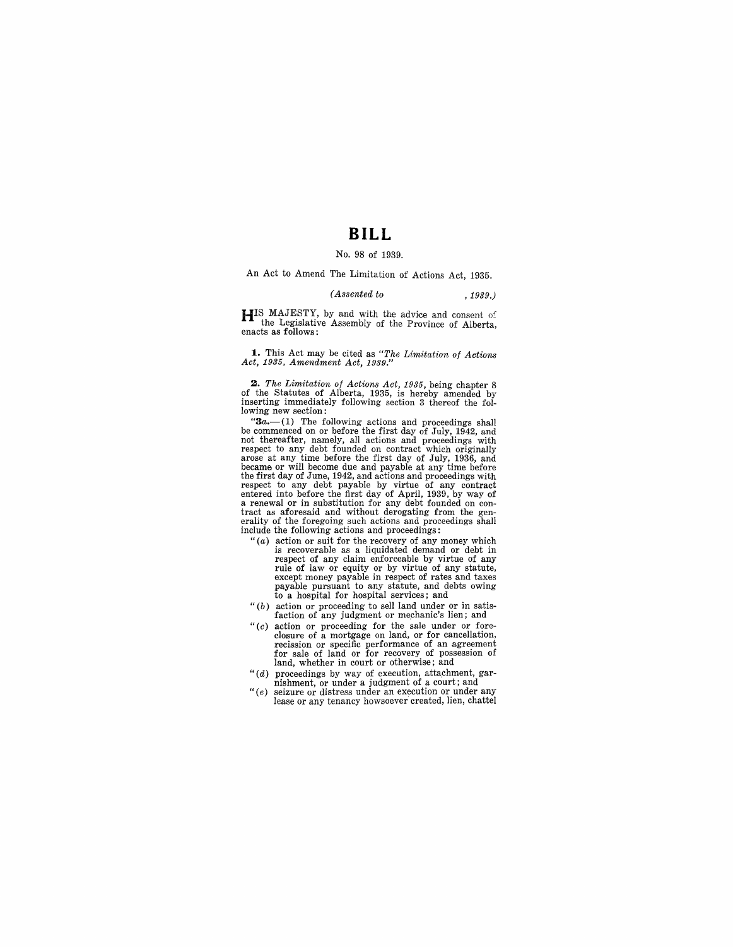# **BILL**

### No. 98 of 1939.

## An Act to Amend The Limitation of Actions Act, 1935.

#### *(Assented to* ,1939.)

HIS MAJESTY, by and with the advice and consent of the Legislative Assembly of the Province of Alberta, enacts as follows:

**1.** This Act may be cited as *"The Limitation of Actions Act,* 1935, *Amendment Act, 1939."* 

2. The Limitation of Actions Act, 1935, being chapter 8 of the Statutes of Alberta, 1935, is hereby amended by inserting immediately following section 3 thereof the following new section:

" $3a$ —(1) The following actions and proceedings shall<br>be commenced on or before the first day of July, 1942, and<br>not thereafter, namely, all actions and proceedings with<br>respect to any debt founded on contract which origi became or will become due and payable at any time before the first day of June, 1942, and actions and proceedings with respect to any debt payable by virtue of any contract<br>entered into before the first day of April, 1939, by way of<br>a renewal or in substitution for any debt founded on con-<br>tract as aforesaid and without derogating from the erality of the foregoing such actions and proceedings shall include the following actions and proceedings:

- " $(a)$  action or suit for the recovery of any money which is recoverable as a liquidated demand or debt in respect of any claim enforceable by virtue of any rule of law or equity or by virtue of any statute, except money payable in respect of rates and taxes payable pursuant to any statute, and debts owing to a hospital for hospital services; and
- *"(b)* action or proceeding to sell land under or in satisfaction of any judgment or mechanic's lien; and
- " $(c)$  action or proceeding for the sale under or fore-<br>closure of a mortgage on land, or for cancellation, recission or specific performance of an agreement for sale of land or for recovery of possession of land, whether in court or otherwise; and
- "(d) proceedings by way of execution, attachment, gar-
- nishment, or under a judgment of a court; and " (e) seizure or distress under an execution or under any lease or any tenancy howsoever created, lien, chattel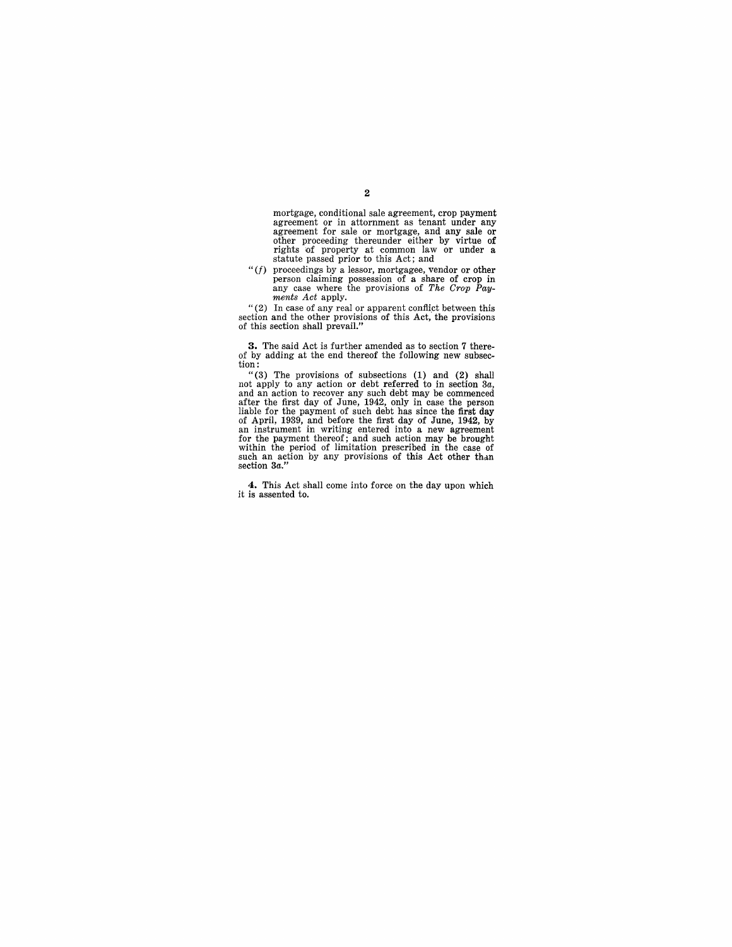mortgage, conditional sale agreement, crop payment agreement or in attornment as tenant under any agreement for sale or mortgage, and any sale or other proceeding thereunder either by virtue of rights 'Of property at 'common law or under a statute passed prior to this Act; and

*"(I)* proceedings by a lessor, mortgagee, vendor or other person claiming possession of a share of crop in any case where the provisions of *The Crop* Pay*ments Act* apply.

"(2) In case of any real or apparent conflict between this section and the other provisions of this Act, the provisions of this section shall prevail."

**3.** The said Act is further amended as to section 7 there-<br>of by adding at the end thereof the following new subsection:

"(3) The provisions of subsections  $(1)$  and  $(2)$  shall not apply to any action or debt referred to in section 3*a*, and an action to recover any such debt may be commenced after the first day of June, 1942, only in case liable for the payment of such debt has since the first day<br>of April, 1939, and before the first day of June, 1942, by<br>an instrument in writing entered into a new agreement<br>for the payment thereof; and such action may be

**4.** This Act shall come into force on the day upon which it is assented to.

### 2